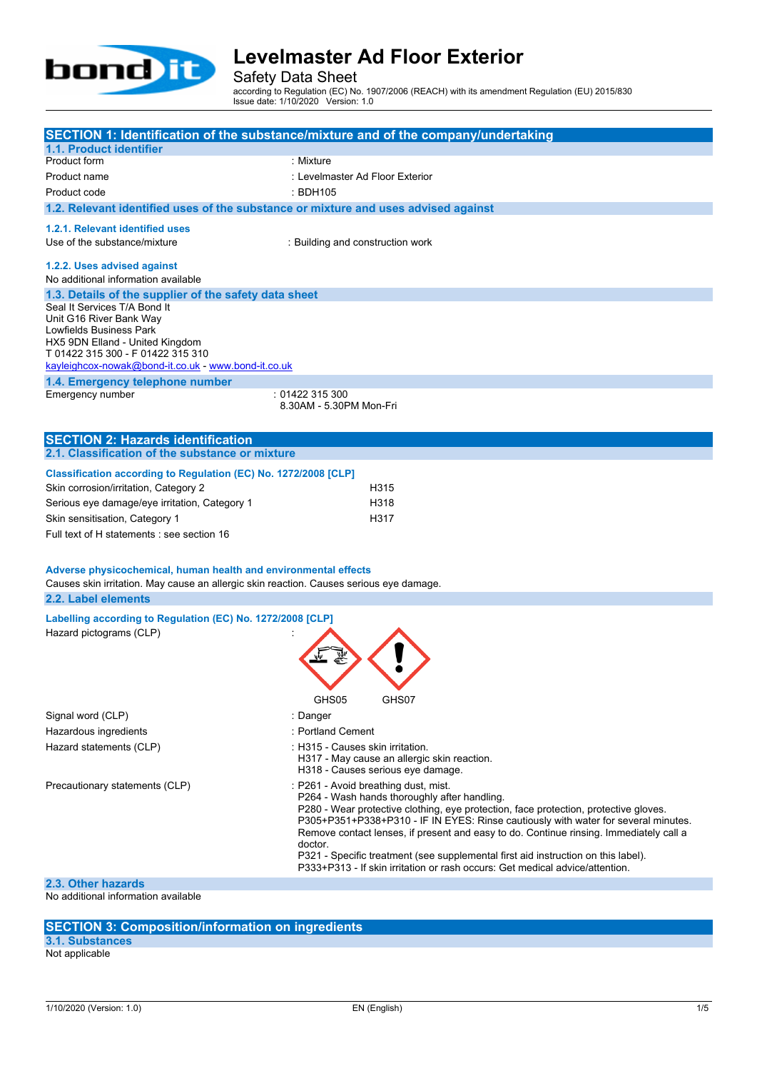

Safety Data Sheet

according to Regulation (EC) No. 1907/2006 (REACH) with its amendment Regulation (EU) 2015/830 Issue date: 1/10/2020 Version: 1.0

|                                                                                          | SECTION 1: Identification of the substance/mixture and of the company/undertaking                                                                                          |  |  |
|------------------------------------------------------------------------------------------|----------------------------------------------------------------------------------------------------------------------------------------------------------------------------|--|--|
| 1.1. Product identifier                                                                  | : Mixture                                                                                                                                                                  |  |  |
| Product form<br>Product name                                                             | : Levelmaster Ad Floor Exterior                                                                                                                                            |  |  |
| Product code                                                                             | : BDH105                                                                                                                                                                   |  |  |
| 1.2. Relevant identified uses of the substance or mixture and uses advised against       |                                                                                                                                                                            |  |  |
|                                                                                          |                                                                                                                                                                            |  |  |
| 1.2.1. Relevant identified uses                                                          |                                                                                                                                                                            |  |  |
| Use of the substance/mixture                                                             | : Building and construction work                                                                                                                                           |  |  |
| 1.2.2. Uses advised against                                                              |                                                                                                                                                                            |  |  |
| No additional information available                                                      |                                                                                                                                                                            |  |  |
| 1.3. Details of the supplier of the safety data sheet                                    |                                                                                                                                                                            |  |  |
| Seal It Services T/A Bond It<br>Unit G16 River Bank Way                                  |                                                                                                                                                                            |  |  |
| Lowfields Business Park                                                                  |                                                                                                                                                                            |  |  |
| HX5 9DN Elland - United Kingdom                                                          |                                                                                                                                                                            |  |  |
| T 01422 315 300 - F 01422 315 310<br>kayleighcox-nowak@bond-it.co.uk - www.bond-it.co.uk |                                                                                                                                                                            |  |  |
| 1.4. Emergency telephone number                                                          |                                                                                                                                                                            |  |  |
| Emergency number                                                                         | : 01422 315 300                                                                                                                                                            |  |  |
|                                                                                          | 8.30AM - 5.30PM Mon-Fri                                                                                                                                                    |  |  |
|                                                                                          |                                                                                                                                                                            |  |  |
| <b>SECTION 2: Hazards identification</b>                                                 |                                                                                                                                                                            |  |  |
| 2.1. Classification of the substance or mixture                                          |                                                                                                                                                                            |  |  |
| Classification according to Regulation (EC) No. 1272/2008 [CLP]                          |                                                                                                                                                                            |  |  |
| Skin corrosion/irritation, Category 2                                                    | H315                                                                                                                                                                       |  |  |
| Serious eye damage/eye irritation, Category 1                                            | H318                                                                                                                                                                       |  |  |
| Skin sensitisation, Category 1                                                           | H317                                                                                                                                                                       |  |  |
| Full text of H statements : see section 16                                               |                                                                                                                                                                            |  |  |
|                                                                                          |                                                                                                                                                                            |  |  |
| Adverse physicochemical, human health and environmental effects                          |                                                                                                                                                                            |  |  |
| Causes skin irritation. May cause an allergic skin reaction. Causes serious eye damage.  |                                                                                                                                                                            |  |  |
| 2.2. Label elements                                                                      |                                                                                                                                                                            |  |  |
| Labelling according to Regulation (EC) No. 1272/2008 [CLP]                               |                                                                                                                                                                            |  |  |
| Hazard pictograms (CLP)                                                                  |                                                                                                                                                                            |  |  |
|                                                                                          |                                                                                                                                                                            |  |  |
|                                                                                          |                                                                                                                                                                            |  |  |
|                                                                                          |                                                                                                                                                                            |  |  |
|                                                                                          | GHS07<br>GHS05                                                                                                                                                             |  |  |
| Signal word (CLP)                                                                        | : Danger                                                                                                                                                                   |  |  |
| Hazardous ingredients                                                                    | : Portland Cement                                                                                                                                                          |  |  |
| Hazard statements (CLP)                                                                  | : H315 - Causes skin irritation.                                                                                                                                           |  |  |
|                                                                                          | H317 - May cause an allergic skin reaction.<br>H318 - Causes serious eye damage.                                                                                           |  |  |
| Precautionary statements (CLP)                                                           | : P261 - Avoid breathing dust, mist.                                                                                                                                       |  |  |
|                                                                                          | P264 - Wash hands thoroughly after handling.                                                                                                                               |  |  |
|                                                                                          | P280 - Wear protective clothing, eye protection, face protection, protective gloves.<br>P305+P351+P338+P310 - IF IN EYES: Rinse cautiously with water for several minutes. |  |  |
| Remove contact lenses, if present and easy to do. Continue rinsing. Immediately call a   |                                                                                                                                                                            |  |  |
|                                                                                          | doctor.                                                                                                                                                                    |  |  |
|                                                                                          | P321 - Specific treatment (see supplemental first aid instruction on this label).<br>P333+P313 - If skin irritation or rash occurs: Get medical advice/attention.          |  |  |
| 2.3. Other hazards                                                                       |                                                                                                                                                                            |  |  |
| No additional information available                                                      |                                                                                                                                                                            |  |  |

additional information available

### **SECTION 3: Composition/information on ingredients**

### **3.1. Substances**

Not applicable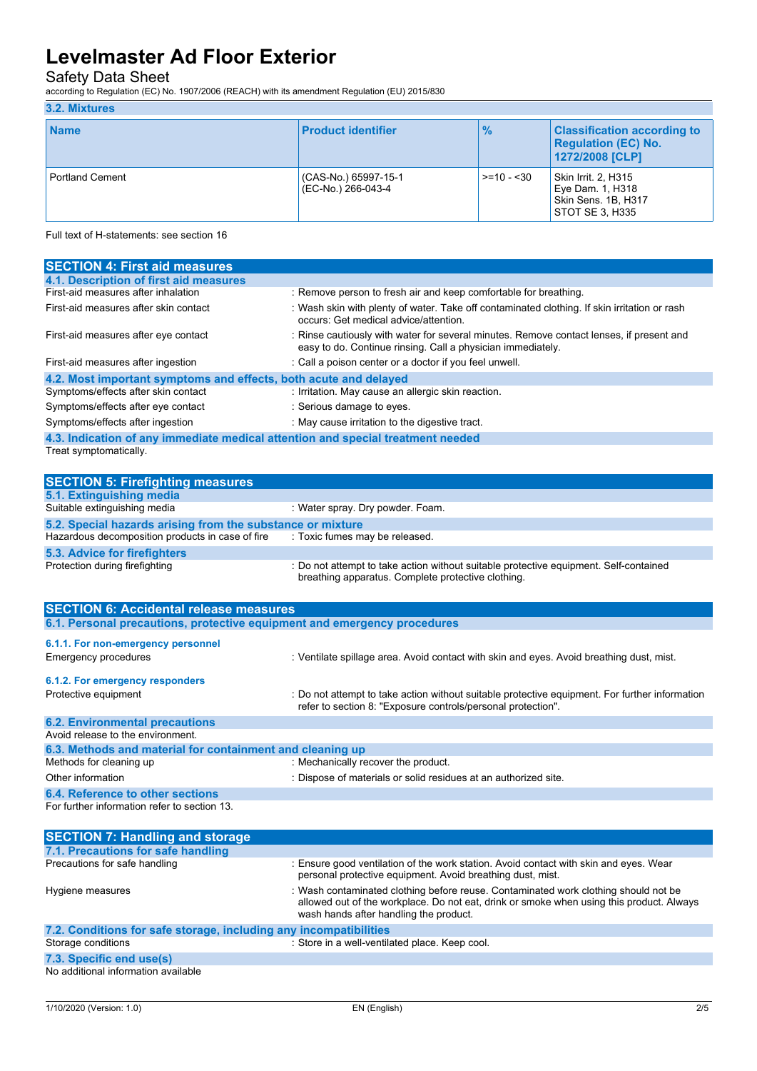### Safety Data Sheet

according to Regulation (EC) No. 1907/2006 (REACH) with its amendment Regulation (EU) 2015/830

### **3.2. Mixtures**

| <b>Name</b>            | <b>Product identifier</b>                  | $\frac{9}{6}$     | <b>Classification according to</b><br><b>Regulation (EC) No.</b><br>1272/2008 [CLP] |
|------------------------|--------------------------------------------|-------------------|-------------------------------------------------------------------------------------|
| <b>Portland Cement</b> | (CAS-No.) 65997-15-1<br>(EC-No.) 266-043-4 | $\ge$ = 10 - < 30 | Skin Irrit. 2, H315<br>Eye Dam. 1, H318<br>Skin Sens. 1B, H317<br>STOT SE 3, H335   |

Full text of H-statements: see section 16

| <b>SECTION 4: First aid measures</b>                                            |                                                                                                                                                         |  |  |
|---------------------------------------------------------------------------------|---------------------------------------------------------------------------------------------------------------------------------------------------------|--|--|
| 4.1. Description of first aid measures                                          |                                                                                                                                                         |  |  |
| First-aid measures after inhalation                                             | : Remove person to fresh air and keep comfortable for breathing.                                                                                        |  |  |
| First-aid measures after skin contact                                           | : Wash skin with plenty of water. Take off contaminated clothing. If skin irritation or rash<br>occurs: Get medical advice/attention.                   |  |  |
| First-aid measures after eye contact                                            | : Rinse cautiously with water for several minutes. Remove contact lenses, if present and<br>easy to do. Continue rinsing. Call a physician immediately. |  |  |
| First-aid measures after ingestion                                              | : Call a poison center or a doctor if you feel unwell.                                                                                                  |  |  |
| 4.2. Most important symptoms and effects, both acute and delayed                |                                                                                                                                                         |  |  |
| Symptoms/effects after skin contact                                             | : Irritation. May cause an allergic skin reaction.                                                                                                      |  |  |
| Symptoms/effects after eye contact                                              | : Serious damage to eyes.                                                                                                                               |  |  |
| Symptoms/effects after ingestion                                                | : May cause irritation to the digestive tract.                                                                                                          |  |  |
| 4.3. Indication of any immediate medical attention and special treatment needed |                                                                                                                                                         |  |  |
| Treat symptomatically.                                                          |                                                                                                                                                         |  |  |

| <b>SECTION 5: Firefighting measures</b>                                         |                                                                                                                                             |  |  |
|---------------------------------------------------------------------------------|---------------------------------------------------------------------------------------------------------------------------------------------|--|--|
| 5.1. Extinguishing media                                                        |                                                                                                                                             |  |  |
| Suitable extinguishing media                                                    | : Water spray. Dry powder. Foam.                                                                                                            |  |  |
| 5.2. Special hazards arising from the substance or mixture                      |                                                                                                                                             |  |  |
| Hazardous decomposition products in case of fire : Toxic fumes may be released. |                                                                                                                                             |  |  |
| 5.3. Advice for firefighters                                                    |                                                                                                                                             |  |  |
| Protection during firefighting                                                  | : Do not attempt to take action without suitable protective equipment. Self-contained<br>breathing apparatus. Complete protective clothing. |  |  |

| <b>SECTION 6: Accidental release measures</b>                            |                                                                                                                                                                |  |  |
|--------------------------------------------------------------------------|----------------------------------------------------------------------------------------------------------------------------------------------------------------|--|--|
| 6.1. Personal precautions, protective equipment and emergency procedures |                                                                                                                                                                |  |  |
| 6.1.1. For non-emergency personnel<br>Emergency procedures               | : Ventilate spillage area. Avoid contact with skin and eyes. Avoid breathing dust, mist.                                                                       |  |  |
| 6.1.2. For emergency responders                                          |                                                                                                                                                                |  |  |
| Protective equipment                                                     | : Do not attempt to take action without suitable protective equipment. For further information<br>refer to section 8: "Exposure controls/personal protection". |  |  |
| <b>6.2. Environmental precautions</b>                                    |                                                                                                                                                                |  |  |
| Avoid release to the environment.                                        |                                                                                                                                                                |  |  |
| 6.3. Methods and material for containment and cleaning up                |                                                                                                                                                                |  |  |
| Methods for cleaning up                                                  | : Mechanically recover the product.                                                                                                                            |  |  |
| Other information                                                        | : Dispose of materials or solid residues at an authorized site.                                                                                                |  |  |
| 6.4. Reference to other sections                                         |                                                                                                                                                                |  |  |

For further information refer to section 13.

| <b>SECTION 7: Handling and storage</b>                            |                                                                                                                                                                                                                           |  |  |
|-------------------------------------------------------------------|---------------------------------------------------------------------------------------------------------------------------------------------------------------------------------------------------------------------------|--|--|
| 7.1. Precautions for safe handling                                |                                                                                                                                                                                                                           |  |  |
| Precautions for safe handling                                     | : Ensure good ventilation of the work station. Avoid contact with skin and eyes. Wear<br>personal protective equipment. Avoid breathing dust, mist.                                                                       |  |  |
| Hygiene measures                                                  | : Wash contaminated clothing before reuse. Contaminated work clothing should not be<br>allowed out of the workplace. Do not eat, drink or smoke when using this product. Always<br>wash hands after handling the product. |  |  |
| 7.2. Conditions for safe storage, including any incompatibilities |                                                                                                                                                                                                                           |  |  |
| Storage conditions                                                | : Store in a well-ventilated place. Keep cool.                                                                                                                                                                            |  |  |
| 7.3. Specific end use(s)                                          |                                                                                                                                                                                                                           |  |  |

No additional information available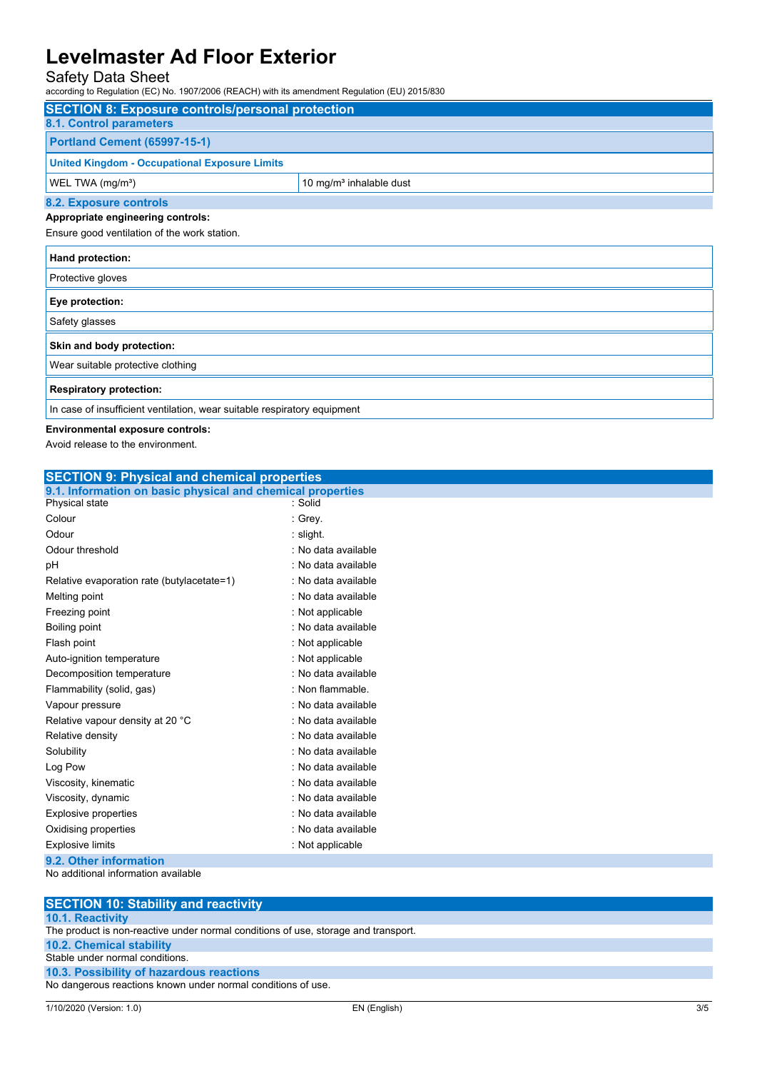## Safety Data Sheet

1907/2006 (REACH) with its amendment Regulation (EU) 2015/830

| according to Regulation (EC) No. 1907/2006 (REACH) with its amendment Regulation (EO) 2013/630 |                                     |  |  |
|------------------------------------------------------------------------------------------------|-------------------------------------|--|--|
| <b>SECTION 8: Exposure controls/personal protection</b>                                        |                                     |  |  |
| 8.1. Control parameters                                                                        |                                     |  |  |
| <b>Portland Cement (65997-15-1)</b>                                                            |                                     |  |  |
| <b>United Kingdom - Occupational Exposure Limits</b>                                           |                                     |  |  |
| WEL TWA (mg/m <sup>3</sup> )                                                                   | 10 mg/m <sup>3</sup> inhalable dust |  |  |
| 8.2. Exposure controls                                                                         |                                     |  |  |
| Appropriate engineering controls:                                                              |                                     |  |  |
| Ensure good ventilation of the work station.                                                   |                                     |  |  |
| Hand protection:                                                                               |                                     |  |  |
| Protective gloves                                                                              |                                     |  |  |
| Eye protection:                                                                                |                                     |  |  |
| Safety glasses                                                                                 |                                     |  |  |
| Skin and body protection:                                                                      |                                     |  |  |
| Wear suitable protective clothing                                                              |                                     |  |  |
| <b>Respiratory protection:</b>                                                                 |                                     |  |  |

In case of insufficient ventilation, wear suitable respiratory equipment

#### **Environmental exposure controls:**

Avoid release to the environment.

| <b>SECTION 9: Physical and chemical properties</b>         |                     |  |  |
|------------------------------------------------------------|---------------------|--|--|
| 9.1. Information on basic physical and chemical properties |                     |  |  |
| Physical state                                             | : Solid             |  |  |
| Colour                                                     | : Grey.             |  |  |
| Odour                                                      | : slight.           |  |  |
| Odour threshold                                            | : No data available |  |  |
| рH                                                         | : No data available |  |  |
| Relative evaporation rate (butylacetate=1)                 | : No data available |  |  |
| Melting point                                              | : No data available |  |  |
| Freezing point                                             | : Not applicable    |  |  |
| Boiling point                                              | : No data available |  |  |
| Flash point                                                | : Not applicable    |  |  |
| Auto-ignition temperature                                  | : Not applicable    |  |  |
| Decomposition temperature                                  | : No data available |  |  |
| Flammability (solid, gas)                                  | : Non flammable.    |  |  |
| Vapour pressure                                            | : No data available |  |  |
| Relative vapour density at 20 °C                           | : No data available |  |  |
| Relative density                                           | : No data available |  |  |
| Solubility                                                 | : No data available |  |  |
| Log Pow                                                    | : No data available |  |  |
| Viscosity, kinematic                                       | : No data available |  |  |
| Viscosity, dynamic                                         | : No data available |  |  |
| <b>Explosive properties</b>                                | : No data available |  |  |
| Oxidising properties                                       | : No data available |  |  |
| <b>Explosive limits</b>                                    | : Not applicable    |  |  |
| 9.2. Other information                                     |                     |  |  |
| No additional information available                        |                     |  |  |

| <b>SECTION 10: Stability and reactivity</b>                                        |
|------------------------------------------------------------------------------------|
| <b>10.1. Reactivity</b>                                                            |
| The product is non-reactive under normal conditions of use, storage and transport. |
| <b>10.2. Chemical stability</b>                                                    |
| Stable under normal conditions.                                                    |
| 10.3. Possibility of hazardous reactions                                           |
| No dangerous reactions known under normal conditions of use.                       |
|                                                                                    |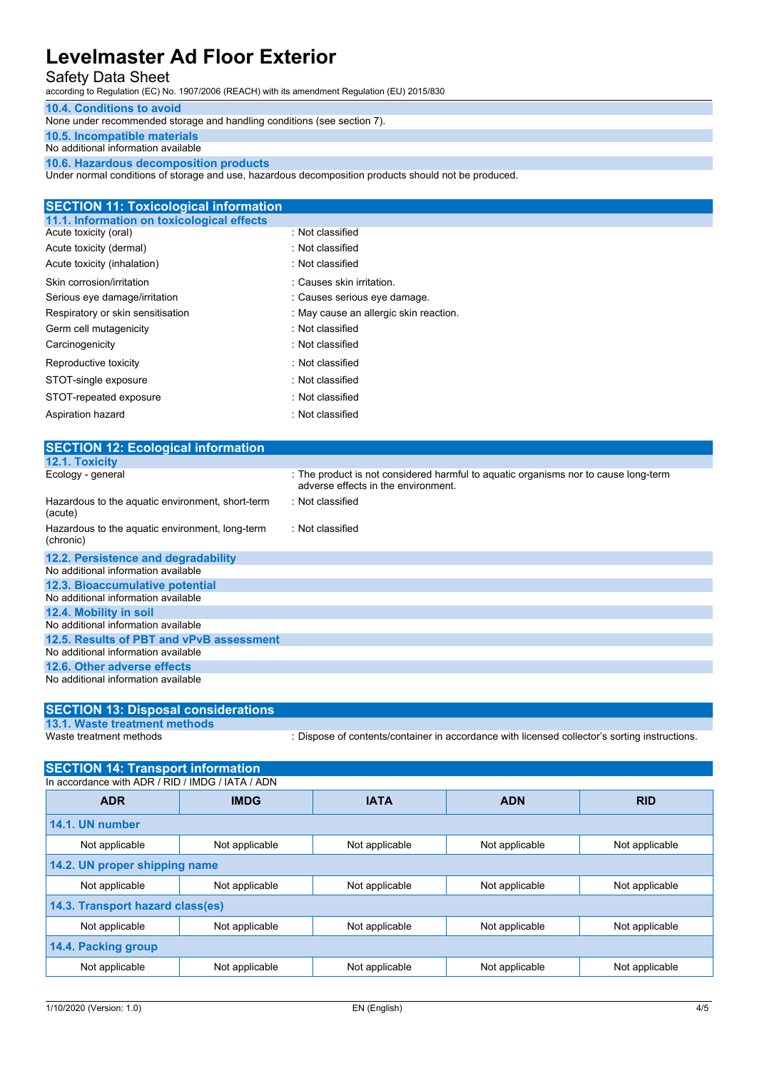### Safety Data Sheet

according to Regulation (EC) No. 1907/2006 (REACH) with its amendment Regulation (EU) 2015/830

#### **10.4. Conditions to avoid**

None under recommended storage and handling conditions (see section 7).

#### **10.5. Incompatible materials**

No additional information available

**10.6. Hazardous decomposition products**

Under normal conditions of storage and use, hazardous decomposition products should not be produced.

| <b>SECTION 11: Toxicological information</b> |                                        |  |  |
|----------------------------------------------|----------------------------------------|--|--|
| 11.1. Information on toxicological effects   |                                        |  |  |
| Acute toxicity (oral)                        | : Not classified                       |  |  |
| Acute toxicity (dermal)                      | : Not classified                       |  |  |
| Acute toxicity (inhalation)                  | : Not classified                       |  |  |
| Skin corrosion/irritation                    | : Causes skin irritation.              |  |  |
| Serious eye damage/irritation                | : Causes serious eye damage.           |  |  |
| Respiratory or skin sensitisation            | : May cause an allergic skin reaction. |  |  |
| Germ cell mutagenicity                       | : Not classified                       |  |  |
| Carcinogenicity                              | : Not classified                       |  |  |
| Reproductive toxicity                        | : Not classified                       |  |  |
| STOT-single exposure                         | : Not classified                       |  |  |
| STOT-repeated exposure                       | : Not classified                       |  |  |
| Aspiration hazard                            | : Not classified                       |  |  |
|                                              |                                        |  |  |

| <b>SECTION 12: Ecological information</b>                    |                                                                                                                            |
|--------------------------------------------------------------|----------------------------------------------------------------------------------------------------------------------------|
| 12.1. Toxicity                                               |                                                                                                                            |
| Ecology - general                                            | : The product is not considered harmful to aquatic organisms nor to cause long-term<br>adverse effects in the environment. |
| Hazardous to the aquatic environment, short-term<br>(acute)  | : Not classified                                                                                                           |
| Hazardous to the aquatic environment, long-term<br>(chronic) | : Not classified                                                                                                           |
| 12.2. Persistence and degradability                          |                                                                                                                            |
| No additional information available                          |                                                                                                                            |
| 12.3. Bioaccumulative potential                              |                                                                                                                            |
| No additional information available                          |                                                                                                                            |
| 12.4. Mobility in soil                                       |                                                                                                                            |
| No additional information available                          |                                                                                                                            |
| 12.5. Results of PBT and vPvB assessment                     |                                                                                                                            |
| No additional information available                          |                                                                                                                            |
| 12.6. Other adverse effects                                  |                                                                                                                            |
| No additional information available                          |                                                                                                                            |

# **SECTION 13: Disposal considerations**

**13.1. Waste treatment methods**

: Dispose of contents/container in accordance with licensed collector's sorting instructions.

| <b>SECTION 14: Transport information</b>         |                |                |                |                |
|--------------------------------------------------|----------------|----------------|----------------|----------------|
| In accordance with ADR / RID / IMDG / IATA / ADN |                |                |                |                |
| <b>ADR</b>                                       | <b>IMDG</b>    | <b>IATA</b>    | <b>ADN</b>     | <b>RID</b>     |
| 14.1. UN number                                  |                |                |                |                |
| Not applicable                                   | Not applicable | Not applicable | Not applicable | Not applicable |
| 14.2. UN proper shipping name                    |                |                |                |                |
| Not applicable                                   | Not applicable | Not applicable | Not applicable | Not applicable |
| 14.3. Transport hazard class(es)                 |                |                |                |                |
| Not applicable                                   | Not applicable | Not applicable | Not applicable | Not applicable |
| 14.4. Packing group                              |                |                |                |                |
| Not applicable                                   | Not applicable | Not applicable | Not applicable | Not applicable |